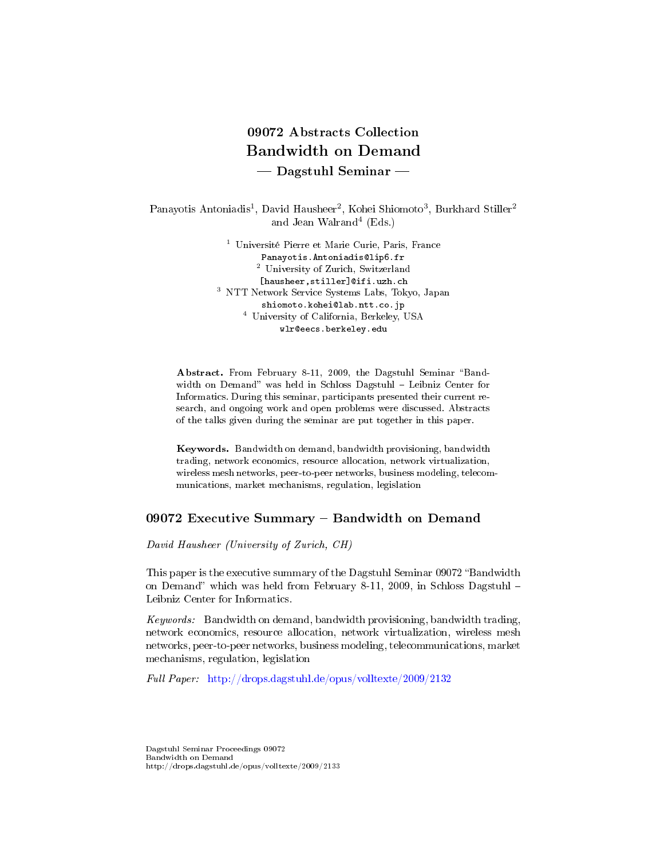# 09072 Abstracts Collection Bandwidth on Demand  $-$  Dagstuhl Seminar  $-$

Panayotis Antoniadis<sup>1</sup>, David Hausheer<sup>2</sup>, Kohei Shiomoto<sup>3</sup>, Burkhard Stiller<sup>2</sup> and Jean Walrand<sup>4</sup> (Eds.)

> <sup>1</sup> Université Pierre et Marie Curie, Paris, France Panayotis.Antoniadis@lip6.fr <sup>2</sup> University of Zurich, Switzerland [hausheer,stiller]@ifi.uzh.ch <sup>3</sup> NTT Network Service Systems Labs, Tokyo, Japan shiomoto.kohei@lab.ntt.co.jp <sup>4</sup> University of California, Berkeley, USA wlr@eecs.berkeley.edu

Abstract. From February 8-11, 2009, the Dagstuhl Seminar "Bandwidth on Demand" was held in Schloss Dagstuhl - Leibniz Center for Informatics. During this seminar, participants presented their current research, and ongoing work and open problems were discussed. Abstracts of the talks given during the seminar are put together in this paper.

Keywords. Bandwidth on demand, bandwidth provisioning, bandwidth trading, network economics, resource allocation, network virtualization, wireless mesh networks, peer-to-peer networks, business modeling, telecommunications, market mechanisms, regulation, legislation

# 09072 Executive Summary - Bandwidth on Demand

David Hausheer (University of Zurich, CH)

This paper is the executive summary of the Dagstuhl Seminar 09072 "Bandwidth on Demand" which was held from February 8-11, 2009, in Schloss Dagstuhl  $-$ Leibniz Center for Informatics.

Keywords: Bandwidth on demand, bandwidth provisioning, bandwidth trading, network economics, resource allocation, network virtualization, wireless mesh networks, peer-to-peer networks, business modeling, telecommunications, market mechanisms, regulation, legislation

Full Paper: <http://drops.dagstuhl.de/opus/volltexte/2009/2132>

Dagstuhl Seminar Proceedings 09072 Bandwidth on Demand http://drops.dagstuhl.de/opus/volltexte/2009/2133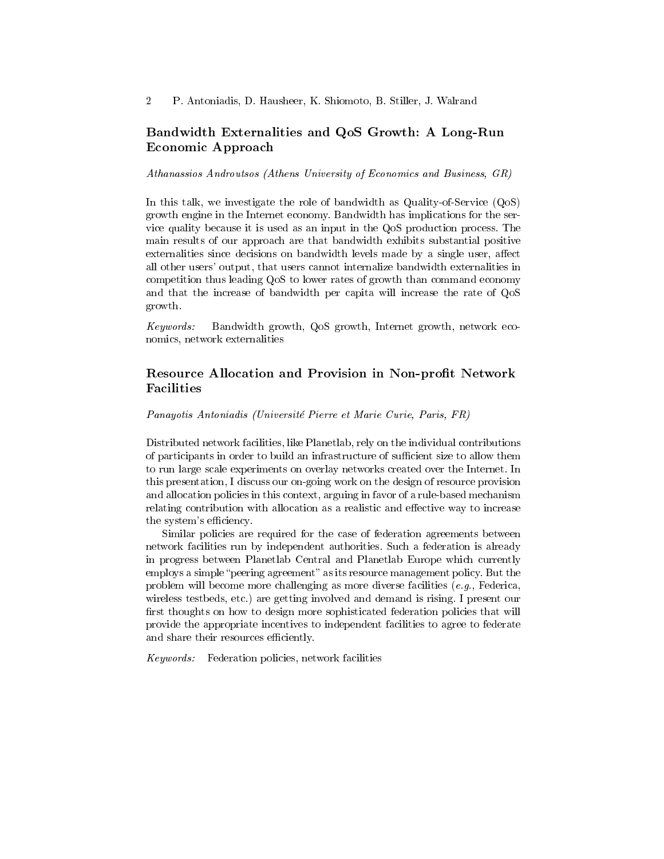# Bandwidth Externalities and QoS Growth: A Long-Run Economic Approach

Athanassios Androutsos (Athens University of Economics and Business, GR)

In this talk, we investigate the role of bandwidth as Quality-of-Service (QoS) growth engine in the Internet economy. Bandwidth has implications for the service quality because it is used as an input in the QoS production process. The main results of our approach are that bandwidth exhibits substantial positive externalities since decisions on bandwidth levels made by a single user, affect all other users' output, that users cannot internalize bandwidth externalities in competition thus leading QoS to lower rates of growth than command economy and that the increase of bandwidth per capita will increase the rate of QoS growth.

Keywords: Bandwidth growth, QoS growth, Internet growth, network economics, network externalities

# Resource Allocation and Provision in Non-profit Network Facilities

Panayotis Antoniadis (Université Pierre et Marie Curie, Paris, FR)

Distributed network facilities, like Planetlab, rely on the individual contributions of participants in order to build an infrastructure of sufficient size to allow them to run large scale experiments on overlay networks created over the Internet. In this presentation, I discuss our on-going work on the design of resource provision and allocation policies in this context, arguing in favor of a rule-based mechanism relating contribution with allocation as a realistic and effective way to increase the system's efficiency.

Similar policies are required for the case of federation agreements between network facilities run by independent authorities. Such a federation is already in progress between Planetlab Central and Planetlab Europe which currently employs a simple "peering agreement" as its resource management policy. But the problem will become more challenging as more diverse facilities  $(e.g.,$  Federica, wireless testbeds, etc.) are getting involved and demand is rising. I present our first thoughts on how to design more sophisticated federation policies that will provide the appropriate incentives to independent facilities to agree to federate and share their resources efficiently.

Keywords: Federation policies, network facilities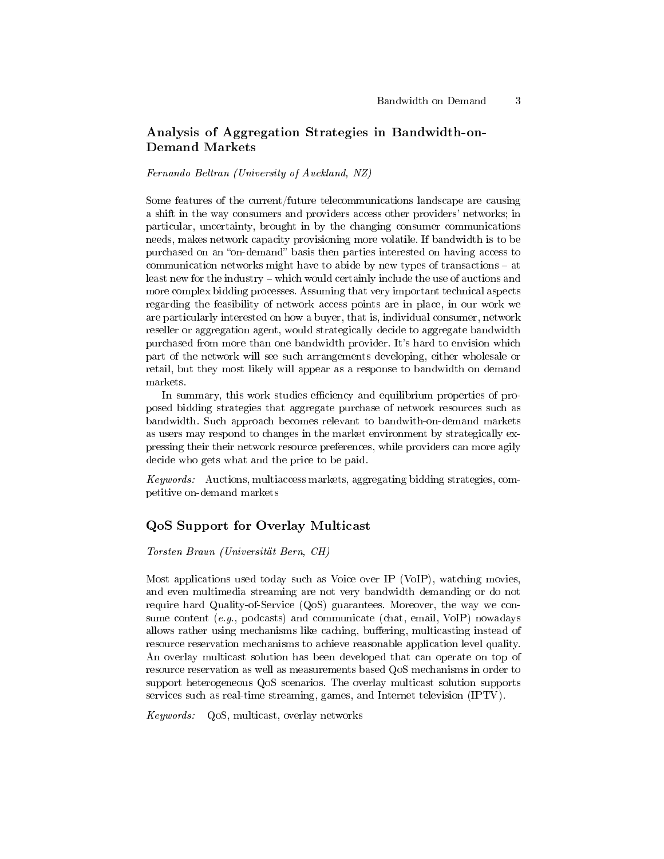# Analysis of Aggregation Strategies in Bandwidth-on-Demand Markets

Fernando Beltran (University of Auckland, NZ)

Some features of the current/future telecommunications landscape are causing a shift in the way consumers and providers access other providers' networks; in particular, uncertainty, brought in by the changing consumer communications needs, makes network capacity provisioning more volatile. If bandwidth is to be purchased on an "on-demand" basis then parties interested on having access to communication networks might have to abide by new types of transactions  $-$  at least new for the industry – which would certainly include the use of auctions and more complex bidding processes. Assuming that very important technical aspects regarding the feasibility of network access points are in place, in our work we are particularly interested on how a buyer, that is, individual consumer, network reseller or aggregation agent, would strategically decide to aggregate bandwidth purchased from more than one bandwidth provider. It's hard to envision which part of the network will see such arrangements developing, either wholesale or retail, but they most likely will appear as a response to bandwidth on demand markets.

In summary, this work studies efficiency and equilibrium properties of proposed bidding strategies that aggregate purchase of network resources such as bandwidth. Such approach becomes relevant to bandwith-on-demand markets as users may respond to changes in the market environment by strategically expressing their their network resource preferences, while providers can more agily decide who gets what and the price to be paid.

Keywords: Auctions, multiaccess markets, aggregating bidding strategies, competitive on-demand markets

### QoS Support for Overlay Multicast

Torsten Braun (Universität Bern, CH)

Most applications used today such as Voice over IP (VoIP), watching movies, and even multimedia streaming are not very bandwidth demanding or do not require hard Quality-of-Service (QoS) guarantees. Moreover, the way we consume content  $(e,q)$ , podcasts) and communicate (chat, email, VoIP) nowadays allows rather using mechanisms like caching, buffering, multicasting instead of resource reservation mechanisms to achieve reasonable application level quality. An overlay multicast solution has been developed that can operate on top of resource reservation as well as measurements based QoS mechanisms in order to support heterogeneous QoS scenarios. The overlay multicast solution supports services such as real-time streaming, games, and Internet television (IPTV).

Keywords: QoS, multicast, overlay networks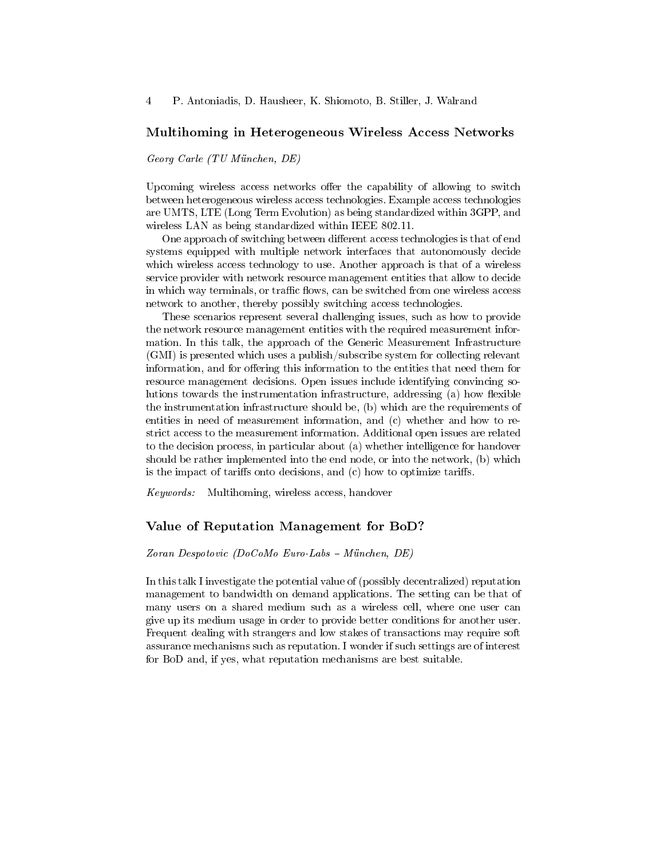#### Multihoming in Heterogeneous Wireless Access Networks

Georg Carle (TU München, DE)

Upcoming wireless access networks offer the capability of allowing to switch between heterogeneous wireless access technologies. Example access technologies are UMTS, LTE (Long Term Evolution) as being standardized within 3GPP, and wireless LAN as being standardized within IEEE 802.11.

One approach of switching between different access technologies is that of end systems equipped with multiple network interfaces that autonomously decide which wireless access technology to use. Another approach is that of a wireless service provider with network resource management entities that allow to decide in which way terminals, or traffic flows, can be switched from one wireless access network to another, thereby possibly switching access technologies.

These scenarios represent several challenging issues, such as how to provide the network resource management entities with the required measurement information. In this talk, the approach of the Generic Measurement Infrastructure (GMI) is presented which uses a publish/subscribe system for collecting relevant information, and for offering this information to the entities that need them for resource management decisions. Open issues include identifying convincing solutions towards the instrumentation infrastructure, addressing (a) how flexible the instrumentation infrastructure should be, (b) which are the requirements of entities in need of measurement information, and (c) whether and how to restrict access to the measurement information. Additional open issues are related to the decision process, in particular about (a) whether intelligence for handover should be rather implemented into the end node, or into the network, (b) which is the impact of tariffs onto decisions, and  $(c)$  how to optimize tariffs.

Keywords: Multihoming, wireless access, handover

### Value of Reputation Management for BoD?

 $Zoran Despotovic (DoCoMo Euro-Labs - München, DE)$ 

In this talk I investigate the potential value of (possibly decentralized) reputation management to bandwidth on demand applications. The setting can be that of many users on a shared medium such as a wireless cell, where one user can give up its medium usage in order to provide better conditions for another user. Frequent dealing with strangers and low stakes of transactions may require soft assurance mechanisms such as reputation. I wonder if such settings are of interest for BoD and, if yes, what reputation mechanisms are best suitable.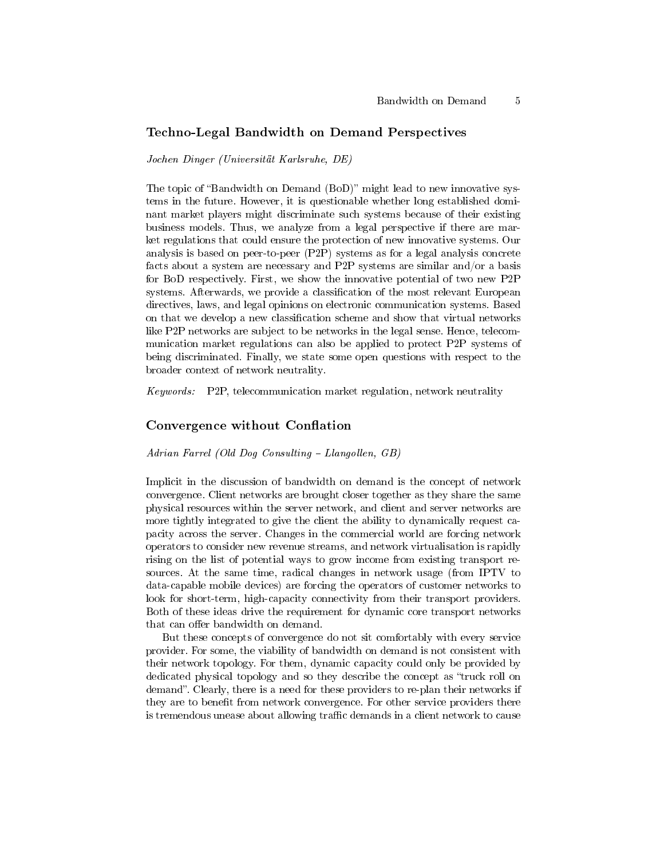# Techno-Legal Bandwidth on Demand Perspectives

Jochen Dinger (Universität Karlsruhe, DE)

The topic of "Bandwidth on Demand (BoD)" might lead to new innovative systems in the future. However, it is questionable whether long established dominant market players might discriminate such systems because of their existing business models. Thus, we analyze from a legal perspective if there are market regulations that could ensure the protection of new innovative systems. Our analysis is based on peer-to-peer (P2P) systems as for a legal analysis concrete facts about a system are necessary and P2P systems are similar and/or a basis for BoD respectively. First, we show the innovative potential of two new P2P systems. Afterwards, we provide a classification of the most relevant European directives, laws, and legal opinions on electronic communication systems. Based on that we develop a new classification scheme and show that virtual networks like P2P networks are subject to be networks in the legal sense. Hence, telecommunication market regulations can also be applied to protect P2P systems of being discriminated. Finally, we state some open questions with respect to the broader context of network neutrality.

Keywords: P2P, telecommunication market regulation, network neutrality

# Convergence without Conflation

Adrian Farrel (Old Dog Consulting  $-Llangollen, GB)$ 

Implicit in the discussion of bandwidth on demand is the concept of network convergence. Client networks are brought closer together as they share the same physical resources within the server network, and client and server networks are more tightly integrated to give the client the ability to dynamically request capacity across the server. Changes in the commercial world are forcing network operators to consider new revenue streams, and network virtualisation is rapidly rising on the list of potential ways to grow income from existing transport resources. At the same time, radical changes in network usage (from IPTV to data-capable mobile devices) are forcing the operators of customer networks to look for short-term, high-capacity connectivity from their transport providers. Both of these ideas drive the requirement for dynamic core transport networks that can offer bandwidth on demand.

But these concepts of convergence do not sit comfortably with every service provider. For some, the viability of bandwidth on demand is not consistent with their network topology. For them, dynamic capacity could only be provided by dedicated physical topology and so they describe the concept as "truck roll on demand". Clearly, there is a need for these providers to re-plan their networks if they are to benefit from network convergence. For other service providers there is tremendous unease about allowing traffic demands in a client network to cause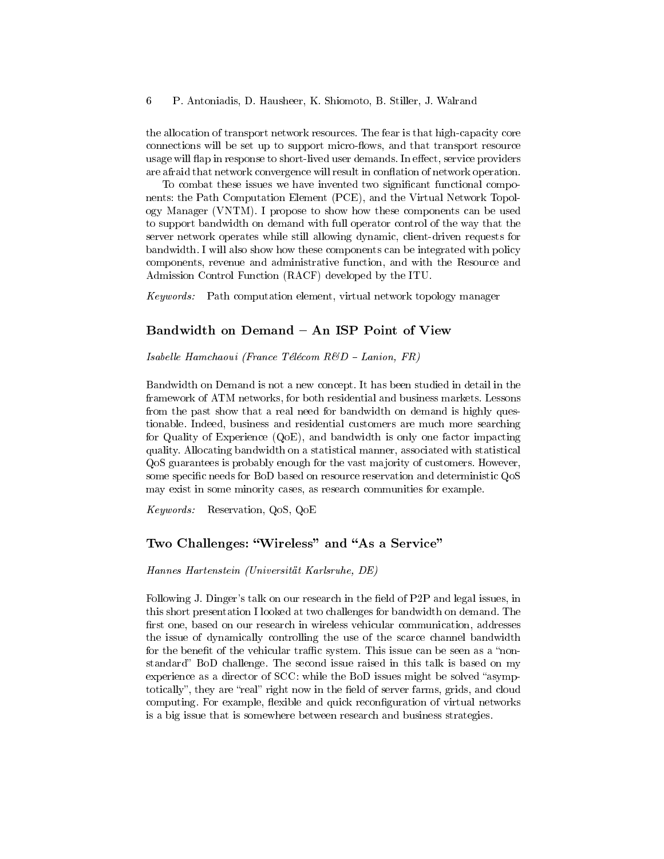the allocation of transport network resources. The fear is that high-capacity core connections will be set up to support micro-flows, and that transport resource usage will flap in response to short-lived user demands. In effect, service providers are afraid that network convergence will result in conflation of network operation.

To combat these issues we have invented two signicant functional components: the Path Computation Element (PCE), and the Virtual Network Topology Manager (VNTM). I propose to show how these components can be used to support bandwidth on demand with full operator control of the way that the server network operates while still allowing dynamic, client-driven requests for bandwidth. I will also show how these components can be integrated with policy components, revenue and administrative function, and with the Resource and Admission Control Function (RACF) developed by the ITU.

Keywords: Path computation element, virtual network topology manager

# Bandwidth on Demand – An ISP Point of View

Isabelle Hamchaoui (France Télécom  $R\&D$  – Lanion, FR)

Bandwidth on Demand is not a new concept. It has been studied in detail in the framework of ATM networks, for both residential and business markets. Lessons from the past show that a real need for bandwidth on demand is highly questionable. Indeed, business and residential customers are much more searching for Quality of Experience (QoE), and bandwidth is only one factor impacting quality. Allocating bandwidth on a statistical manner, associated with statistical QoS guarantees is probably enough for the vast majority of customers. However, some specific needs for BoD based on resource reservation and deterministic QoS may exist in some minority cases, as research communities for example.

Keywords: Reservation, QoS, QoE

# Two Challenges: "Wireless" and "As a Service"

Hannes Hartenstein (Universität Karlsruhe, DE)

Following J. Dinger's talk on our research in the field of P2P and legal issues, in this short presentation I looked at two challenges for bandwidth on demand. The first one, based on our research in wireless vehicular communication, addresses the issue of dynamically controlling the use of the scarce channel bandwidth for the benefit of the vehicular traffic system. This issue can be seen as a "nonstandard" BoD challenge. The second issue raised in this talk is based on my experience as a director of  $SCC$ : while the BoD issues might be solved "asymptotically", they are "real" right now in the field of server farms, grids, and cloud computing. For example, flexible and quick reconfiguration of virtual networks is a big issue that is somewhere between research and business strategies.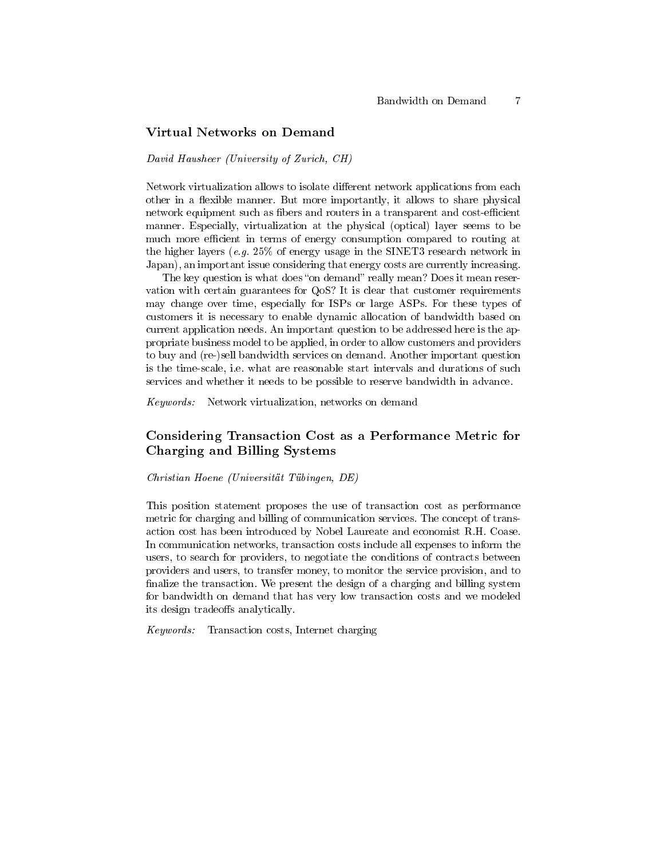# Virtual Networks on Demand

#### David Hausheer (University of Zurich, CH)

Network virtualization allows to isolate different network applications from each other in a flexible manner. But more importantly, it allows to share physical network equipment such as fibers and routers in a transparent and cost-efficient manner. Especially, virtualization at the physical (optical) layer seems to be much more efficient in terms of energy consumption compared to routing at the higher layers (e.g.  $25\%$  of energy usage in the SINET3 research network in Japan), an important issue considering that energy costs are currently increasing.

The key question is what does "on demand" really mean? Does it mean reservation with certain guarantees for QoS? It is clear that customer requirements may change over time, especially for ISPs or large ASPs. For these types of customers it is necessary to enable dynamic allocation of bandwidth based on current application needs. An important question to be addressed here is the appropriate business model to be applied, in order to allow customers and providers to buy and (re-)sell bandwidth services on demand. Another important question is the time-scale, i.e. what are reasonable start intervals and durations of such services and whether it needs to be possible to reserve bandwidth in advance.

Keywords: Network virtualization, networks on demand

# Considering Transaction Cost as a Performance Metric for Charging and Billing Systems

Christian Hoene (Universität Tübingen, DE)

This position statement proposes the use of transaction cost as performance metric for charging and billing of communication services. The concept of transaction cost has been introduced by Nobel Laureate and economist R.H. Coase. In communication networks, transaction costs include all expenses to inform the users, to search for providers, to negotiate the conditions of contracts between providers and users, to transfer money, to monitor the service provision, and to finalize the transaction. We present the design of a charging and billing system for bandwidth on demand that has very low transaction costs and we modeled its design tradeoffs analytically.

Keywords: Transaction costs, Internet charging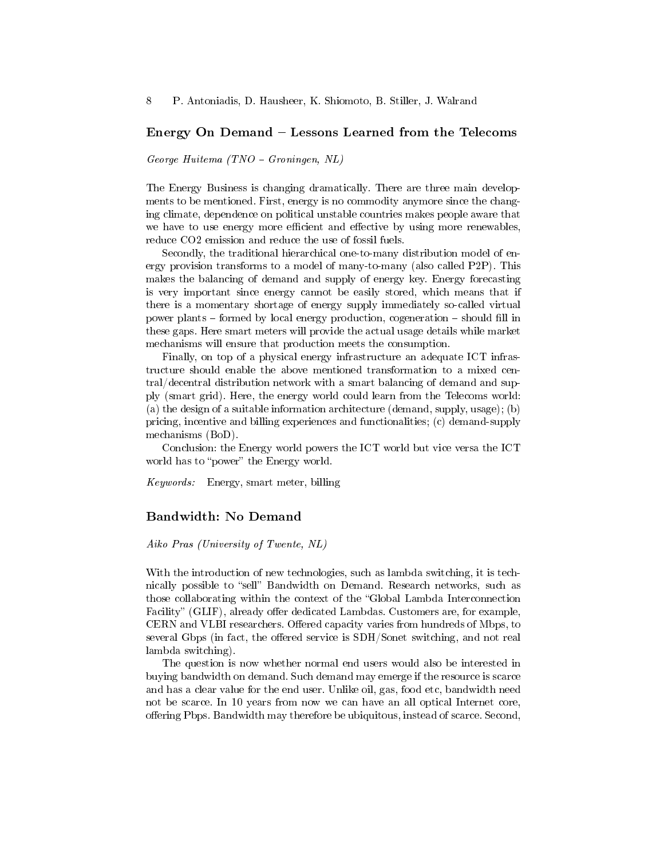#### Energy On Demand – Lessons Learned from the Telecoms

George Huitema (TNO Groningen, NL)

The Energy Business is changing dramatically. There are three main developments to be mentioned. First, energy is no commodity anymore since the changing climate, dependence on political unstable countries makes people aware that we have to use energy more efficient and effective by using more renewables, reduce CO2 emission and reduce the use of fossil fuels.

Secondly, the traditional hierarchical one-to-many distribution model of energy provision transforms to a model of many-to-many (also called P2P). This makes the balancing of demand and supply of energy key. Energy forecasting is very important since energy cannot be easily stored, which means that if there is a momentary shortage of energy supply immediately so-called virtual power plants  $-$  formed by local energy production, cogeneration  $-$  should fill in these gaps. Here smart meters will provide the actual usage details while market mechanisms will ensure that production meets the consumption.

Finally, on top of a physical energy infrastructure an adequate ICT infrastructure should enable the above mentioned transformation to a mixed central/decentral distribution network with a smart balancing of demand and supply (smart grid). Here, the energy world could learn from the Telecoms world: (a) the design of a suitable information architecture (demand, supply, usage); (b) pricing, incentive and billing experiences and functionalities; (c) demand-supply mechanisms (BoD).

Conclusion: the Energy world powers the ICT world but vice versa the ICT world has to "power" the Energy world.

Keywords: Energy, smart meter, billing

### Bandwidth: No Demand

Aiko Pras (University of Twente, NL)

With the introduction of new technologies, such as lambda switching, it is technically possible to "sell" Bandwidth on Demand. Research networks, such as those collaborating within the context of the Global Lambda Interconnection Facility" (GLIF), already offer dedicated Lambdas. Customers are, for example, CERN and VLBI researchers. Offered capacity varies from hundreds of Mbps, to several Gbps (in fact, the offered service is SDH/Sonet switching, and not real lambda switching).

The question is now whether normal end users would also be interested in buying bandwidth on demand. Such demand may emerge if the resource is scarce and has a clear value for the end user. Unlike oil, gas, food etc, bandwidth need not be scarce. In 10 years from now we can have an all optical Internet core, offering Pbps. Bandwidth may therefore be ubiquitous, instead of scarce. Second,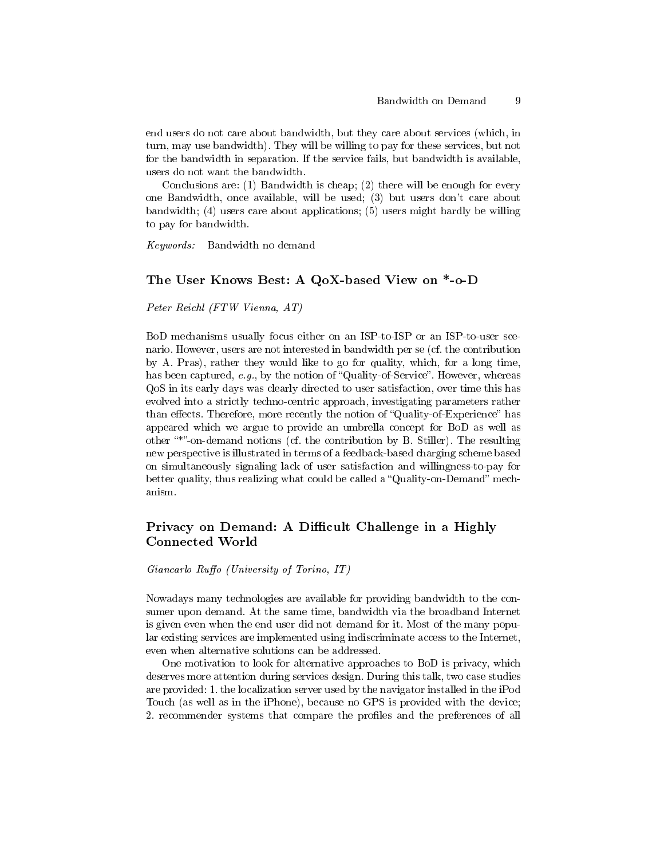end users do not care about bandwidth, but they care about services (which, in turn, may use bandwidth). They will be willing to pay for these services, but not for the bandwidth in separation. If the service fails, but bandwidth is available, users do not want the bandwidth.

Conclusions are: (1) Bandwidth is cheap; (2) there will be enough for every one Bandwidth, once available, will be used; (3) but users don't care about bandwidth; (4) users care about applications; (5) users might hardly be willing to pay for bandwidth.

Keywords: Bandwidth no demand

# The User Knows Best: A QoX-based View on \*-o-D

Peter Reichl (FTW Vienna, AT)

BoD mechanisms usually focus either on an ISP-to-ISP or an ISP-to-user scenario. However, users are not interested in bandwidth per se (cf. the contribution by A. Pras), rather they would like to go for quality, which, for a long time, has been captured,  $e.g.,$  by the notion of "Quality-of-Service". However, whereas QoS in its early days was clearly directed to user satisfaction, over time this has evolved into a strictly techno-centric approach, investigating parameters rather than effects. Therefore, more recently the notion of "Quality-of-Experience" has appeared which we argue to provide an umbrella concept for BoD as well as other "\*"-on-demand notions (cf. the contribution by B. Stiller). The resulting new perspective is illustrated in terms of a feedback-based charging scheme based on simultaneously signaling lack of user satisfaction and willingness-to-pay for better quality, thus realizing what could be called a "Quality-on-Demand" mechanism.

# Privacy on Demand: A Difficult Challenge in a Highly Connected World

 $Giancarlo \; Ruffo \; (University \; of \; Torino, \; IT)$ 

Nowadays many technologies are available for providing bandwidth to the consumer upon demand. At the same time, bandwidth via the broadband Internet is given even when the end user did not demand for it. Most of the many popular existing services are implemented using indiscriminate access to the Internet, even when alternative solutions can be addressed.

One motivation to look for alternative approaches to BoD is privacy, which deserves more attention during services design. During this talk, two case studies are provided: 1. the localization server used by the navigator installed in the iPod Touch (as well as in the iPhone), because no GPS is provided with the device; 2. recommender systems that compare the profiles and the preferences of all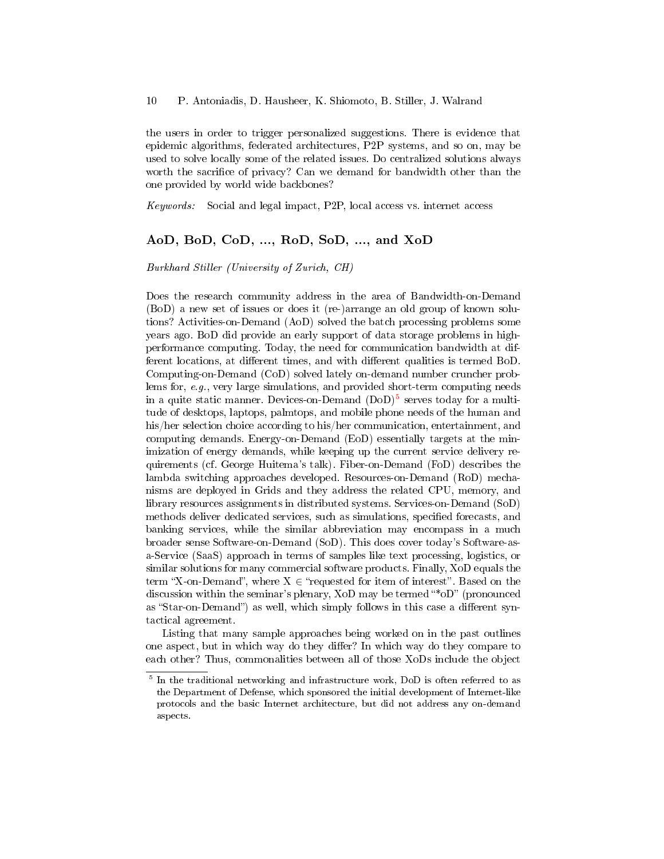the users in order to trigger personalized suggestions. There is evidence that epidemic algorithms, federated architectures, P2P systems, and so on, may be used to solve locally some of the related issues. Do centralized solutions always worth the sacrifice of privacy? Can we demand for bandwidth other than the one provided by world wide backbones?

Keywords: Social and legal impact, P2P, local access vs. internet access

# AoD, BoD, CoD, ..., RoD, SoD, ..., and XoD

Burkhard Stiller (University of Zurich, CH)

Does the research community address in the area of Bandwidth-on-Demand (BoD) a new set of issues or does it (re-)arrange an old group of known solutions? Activities-on-Demand (AoD) solved the batch processing problems some years ago. BoD did provide an early support of data storage problems in highperformance computing. Today, the need for communication bandwidth at different locations, at different times, and with different qualities is termed BoD. Computing-on-Demand (CoD) solved lately on-demand number cruncher problems for, e.g., very large simulations, and provided short-term computing needs in a quite static manner. Devices-on-Demand  $(DoD)^5$  $(DoD)^5$  serves today for a multitude of desktops, laptops, palmtops, and mobile phone needs of the human and his/her selection choice according to his/her communication, entertainment, and computing demands. Energy-on-Demand (EoD) essentially targets at the minimization of energy demands, while keeping up the current service delivery requirements (cf. George Huitema's talk). Fiber-on-Demand (FoD) describes the lambda switching approaches developed. Resources-on-Demand (RoD) mechanisms are deployed in Grids and they address the related CPU, memory, and library resources assignments in distributed systems. Services-on-Demand (SoD) methods deliver dedicated services, such as simulations, specified forecasts, and banking services, while the similar abbreviation may encompass in a much broader sense Software-on-Demand (SoD). This does cover today's Software-asa-Service (SaaS) approach in terms of samples like text processing, logistics, or similar solutions for many commercial software products. Finally, XoD equals the term "X-on-Demand", where  $X \in$  "requested for item of interest". Based on the discussion within the seminar's plenary,  $XoD$  may be termed "\* $oD$ " (pronounced as "Star-on-Demand") as well, which simply follows in this case a different syntactical agreement.

Listing that many sample approaches being worked on in the past outlines one aspect, but in which way do they differ? In which way do they compare to each other? Thus, commonalities between all of those XoDs include the object

<span id="page-9-0"></span><sup>5</sup> In the traditional networking and infrastructure work, DoD is often referred to as the Department of Defense, which sponsored the initial development of Internet-like protocols and the basic Internet architecture, but did not address any on-demand aspects.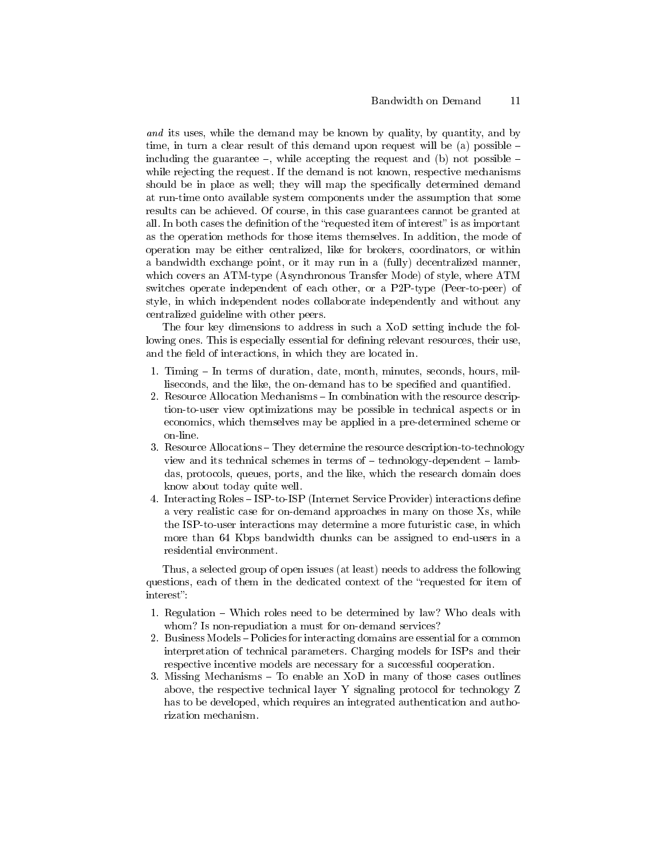and its uses, while the demand may be known by quality, by quantity, and by time, in turn a clear result of this demand upon request will be (a) possible  $$ including the guarantee  $-$ , while accepting the request and (b) not possible  $$ while rejecting the request. If the demand is not known, respective mechanisms should be in place as well; they will map the specifically determined demand at run-time onto available system components under the assumption that some results can be achieved. Of course, in this case guarantees cannot be granted at all. In both cases the definition of the "requested item of interest" is as important as the operation methods for those items themselves. In addition, the mode of operation may be either centralized, like for brokers, coordinators, or within a bandwidth exchange point, or it may run in a (fully) decentralized manner, which covers an ATM-type (Asynchronous Transfer Mode) of style, where ATM switches operate independent of each other, or a P2P-type (Peer-to-peer) of style, in which independent nodes collaborate independently and without any centralized guideline with other peers.

The four key dimensions to address in such a XoD setting include the following ones. This is especially essential for defining relevant resources, their use, and the field of interactions, in which they are located in.

- 1. Timing In terms of duration, date, month, minutes, seconds, hours, milliseconds, and the like, the on-demand has to be specified and quantified.
- 2. Resource Allocation Mechanisms In combination with the resource description-to-user view optimizations may be possible in technical aspects or in economics, which themselves may be applied in a pre-determined scheme or on-line.
- 3. Resource Allocations They determine the resource description-to-technology view and its technical schemes in terms of  $-$  technology-dependent  $-$  lambdas, protocols, queues, ports, and the like, which the research domain does know about today quite well.
- 4. Interacting Roles ISP-to-ISP (Internet Service Provider) interactions define a very realistic case for on-demand approaches in many on those Xs, while the ISP-to-user interactions may determine a more futuristic case, in which more than 64 Kbps bandwidth chunks can be assigned to end-users in a residential environment.

Thus, a selected group of open issues (at least) needs to address the following questions, each of them in the dedicated context of the "requested for item of interest":

- 1. Regulation Which roles need to be determined by law? Who deals with whom? Is non-repudiation a must for on-demand services?
- 2. Business Models Policies for interacting domains are essential for a common interpretation of technical parameters. Charging models for ISPs and their respective incentive models are necessary for a successful cooperation.
- 3. Missing Mechanisms  $-$  To enable an XoD in many of those cases outlines above, the respective technical layer Y signaling protocol for technology Z has to be developed, which requires an integrated authentication and authorization mechanism.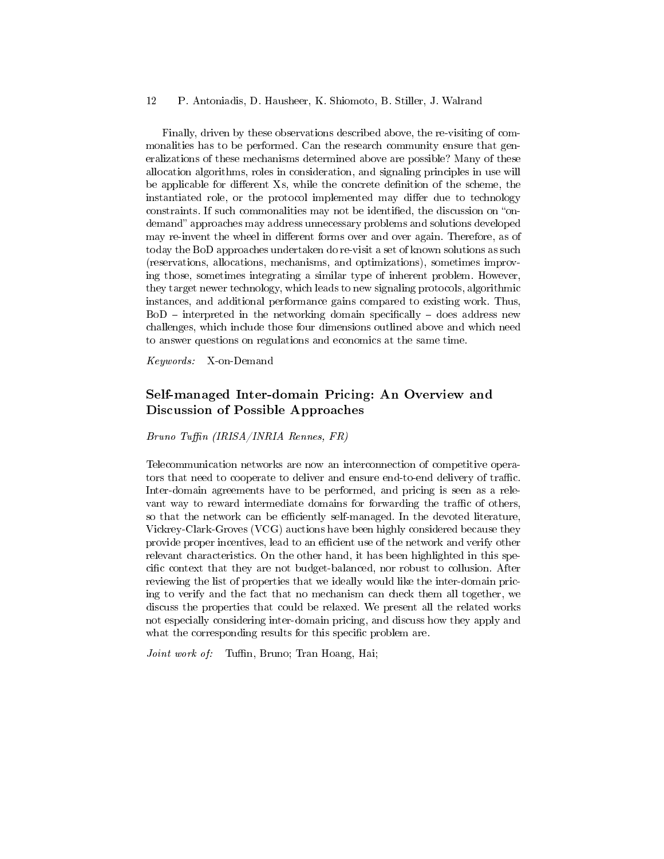#### 12 P. Antoniadis, D. Hausheer, K. Shiomoto, B. Stiller, J. Walrand

Finally, driven by these observations described above, the re-visiting of commonalities has to be performed. Can the research community ensure that generalizations of these mechanisms determined above are possible? Many of these allocation algorithms, roles in consideration, and signaling principles in use will be applicable for different Xs, while the concrete definition of the scheme, the instantiated role, or the protocol implemented may differ due to technology constraints. If such commonalities may not be identified, the discussion on "ondemand" approaches may address unnecessary problems and solutions developed may re-invent the wheel in different forms over and over again. Therefore, as of today the BoD approaches undertaken do re-visit a set of known solutions as such (reservations, allocations, mechanisms, and optimizations), sometimes improving those, sometimes integrating a similar type of inherent problem. However, they target newer technology, which leads to new signaling protocols, algorithmic instances, and additional performance gains compared to existing work. Thus,  $BoD$  – interpreted in the networking domain specifically – does address new challenges, which include those four dimensions outlined above and which need to answer questions on regulations and economics at the same time.

Keywords: X-on-Demand

# Self-managed Inter-domain Pricing: An Overview and Discussion of Possible Approaches

 $Bruno$  Tuffin (IRISA/INRIA Rennes, FR)

Telecommunication networks are now an interconnection of competitive operators that need to cooperate to deliver and ensure end-to-end delivery of traffic. Inter-domain agreements have to be performed, and pricing is seen as a relevant way to reward intermediate domains for forwarding the traffic of others, so that the network can be efficiently self-managed. In the devoted literature, Vickrey-Clark-Groves (VCG) auctions have been highly considered because they provide proper incentives, lead to an efficient use of the network and verify other relevant characteristics. On the other hand, it has been highlighted in this specific context that they are not budget-balanced, nor robust to collusion. After reviewing the list of properties that we ideally would like the inter-domain pricing to verify and the fact that no mechanism can check them all together, we discuss the properties that could be relaxed. We present all the related works not especially considering inter-domain pricing, and discuss how they apply and what the corresponding results for this specific problem are.

Joint work of: Tuffin, Bruno; Tran Hoang, Hai;